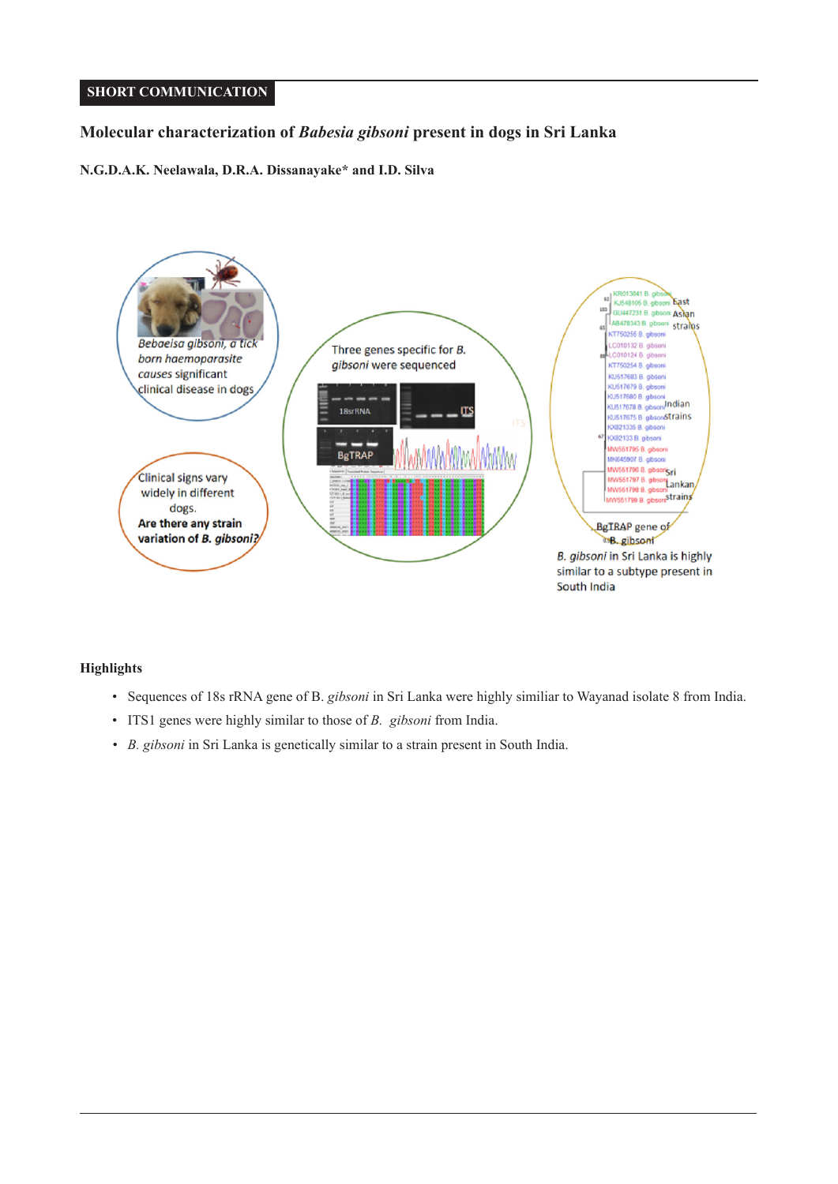# **SHORT COMMUNICATION**

# **Molecular characterization of** *Babesia gibsoni* **present in dogs in Sri Lanka**

**N.G.D.A.K. Neelawala, D.R.A. Dissanayake\* and I.D. Silva**



## **Highlights**

- Sequences of 18s rRNA gene of B. *gibsoni* in Sri Lanka were highly similiar to Wayanad isolate 8 from India.
- ITS1 genes were highly similar to those of *B. gibsoni* from India.
- *B. gibsoni* in Sri Lanka is genetically similar to a strain present in South India.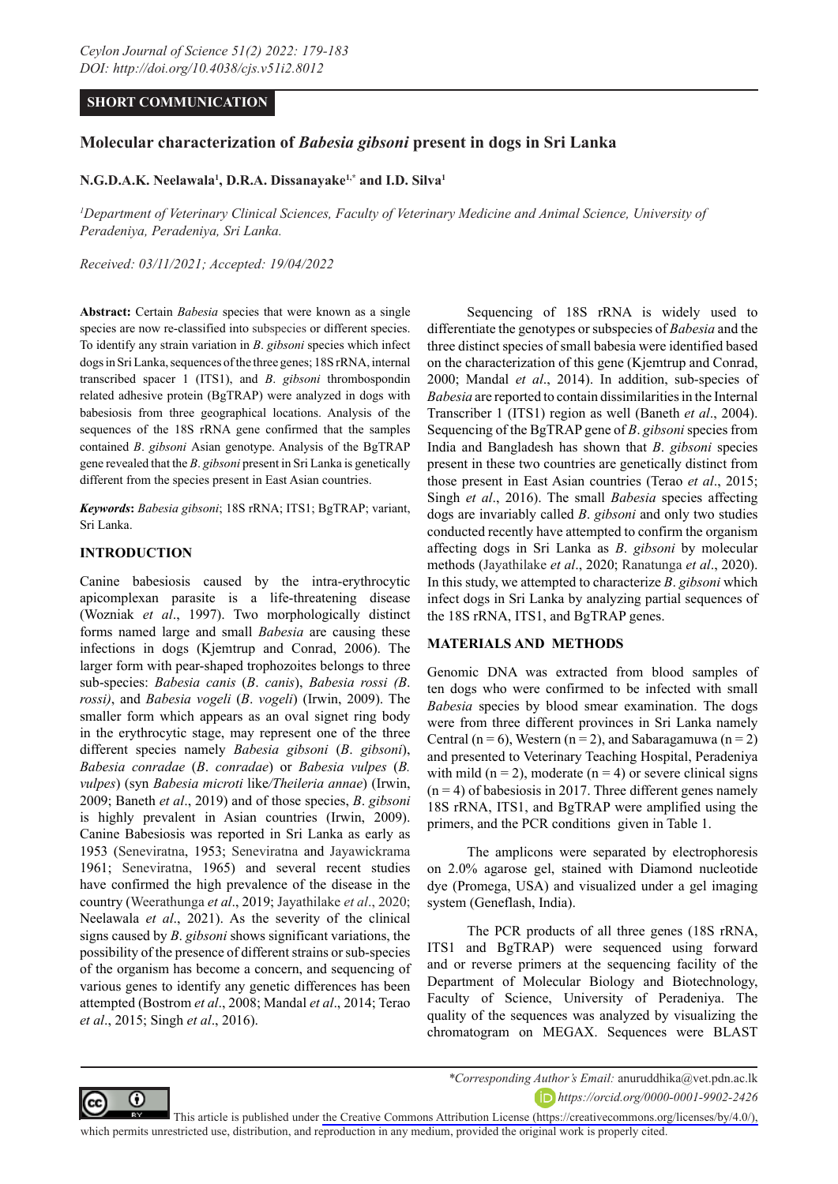## **SHORT COMMUNICATION**

# **Molecular characterization of** *Babesia gibsoni* **present in dogs in Sri Lanka**

### **N.G.D.A.K. Neelawala1 , D.R.A. Dissanayake1,\* and I.D. Silva1**

<sup>*1</sup>* Department of Veterinary Clinical Sciences, Faculty of Veterinary Medicine and Animal Science, University of</sup> *Peradeniya, Peradeniya, Sri Lanka.*

*Received: 03/11/2021; Accepted: 19/04/2022*

**Abstract:** Certain *Babesia* species that were known as a single species are now re-classified into subspecies or different species. To identify any strain variation in *B*. *gibsoni* species which infect dogs in Sri Lanka, sequences of the three genes; 18S rRNA, internal transcribed spacer 1 (ITS1), and *B*. *gibsoni* thrombospondin related adhesive protein (BgTRAP) were analyzed in dogs with babesiosis from three geographical locations. Analysis of the sequences of the 18S rRNA gene confirmed that the samples contained *B*. *gibsoni* Asian genotype. Analysis of the BgTRAP gene revealed that the *B*. *gibsoni* present in Sri Lanka is genetically different from the species present in East Asian countries.

*Keywords***:** *Babesia gibsoni*; 18S rRNA; ITS1; BgTRAP; variant, Sri Lanka.

### **INTRODUCTION**

Canine babesiosis caused by the intra-erythrocytic apicomplexan parasite is a life-threatening disease (Wozniak *et al*., 1997). Two morphologically distinct forms named large and small *Babesia* are causing these infections in dogs (Kjemtrup and Conrad, 2006). The larger form with pear-shaped trophozoites belongs to three sub-species: *Babesia canis* (*B*. *canis*), *Babesia rossi (B*. *rossi)*, and *Babesia vogeli* (*B*. *vogeli*) (Irwin, 2009). The smaller form which appears as an oval signet ring body in the erythrocytic stage, may represent one of the three different species namely *Babesia gibsoni* (*B*. *gibsoni*), *Babesia conradae* (*B*. *conradae*) or *Babesia vulpes* (*B. vulpes*) (syn *Babesia microti* like*/Theileria annae*) (Irwin, 2009; Baneth *et al*., 2019) and of those species, *B*. *gibsoni* is highly prevalent in Asian countries (Irwin, 2009). Canine Babesiosis was reported in Sri Lanka as early as 1953 (Seneviratna, 1953; Seneviratna and Jayawickrama 1961; Seneviratna, 1965) and several recent studies have confirmed the high prevalence of the disease in the country (Weerathunga *et al*., 2019; Jayathilake *et al*., 2020; Neelawala *et al*., 2021). As the severity of the clinical signs caused by *B*. *gibsoni* shows significant variations, the possibility of the presence of different strains or sub-species of the organism has become a concern, and sequencing of various genes to identify any genetic differences has been attempted (Bostrom *et al*., 2008; Mandal *et al*., 2014; Terao *et al*., 2015; Singh *et al*., 2016).

Sequencing of 18S rRNA is widely used to differentiate the genotypes or subspecies of *Babesia* and the three distinct species of small babesia were identified based on the characterization of this gene (Kjemtrup and Conrad, 2000; Mandal *et al*., 2014). In addition, sub-species of *Babesia* are reported to contain dissimilarities in the Internal Transcriber 1 (ITS1) region as well (Baneth *et al*., 2004). Sequencing of the BgTRAP gene of *B*. *gibsoni* species from India and Bangladesh has shown that *B*. *gibsoni* species present in these two countries are genetically distinct from those present in East Asian countries (Terao *et al*., 2015; Singh *et al*., 2016). The small *Babesia* species affecting dogs are invariably called *B*. *gibsoni* and only two studies conducted recently have attempted to confirm the organism affecting dogs in Sri Lanka as *B*. *gibsoni* by molecular methods (Jayathilake *et al*., 2020; Ranatunga *et al*., 2020). In this study, we attempted to characterize *B*. *gibsoni* which infect dogs in Sri Lanka by analyzing partial sequences of the 18S rRNA, ITS1, and BgTRAP genes.

#### **MATERIALS AND METHODS**

Genomic DNA was extracted from blood samples of ten dogs who were confirmed to be infected with small *Babesia* species by blood smear examination. The dogs were from three different provinces in Sri Lanka namely Central ( $n = 6$ ), Western ( $n = 2$ ), and Sabaragamuwa ( $n = 2$ ) and presented to Veterinary Teaching Hospital, Peradeniya with mild ( $n = 2$ ), moderate ( $n = 4$ ) or severe clinical signs  $(n = 4)$  of babesiosis in 2017. Three different genes namely 18S rRNA, ITS1, and BgTRAP were amplified using the primers, and the PCR conditions given in Table 1.

The amplicons were separated by electrophoresis on 2.0% agarose gel, stained with Diamond nucleotide dye (Promega, USA) and visualized under a gel imaging system (Geneflash, India).

The PCR products of all three genes (18S rRNA, ITS1 and BgTRAP) were sequenced using forward and or reverse primers at the sequencing facility of the Department of Molecular Biology and Biotechnology, Faculty of Science, University of Peradeniya. The quality of the sequences was analyzed by visualizing the chromatogram on MEGAX. Sequences were BLAST



*https://orcid.org/0000-0001-9902-2426*

This article is published under [the Creative Commons Attribution License \(https://creativecommons.org/licenses/by/4.0/\),](the Creative Commons Attribution License (https://creativecommons.org/licenses/by/4.0/),)  which permits unrestricted use, distribution, and reproduction in any medium, provided the original work is properly cited.

*<sup>\*</sup>Corresponding Author's Email:* anuruddhika@vet.pdn.ac.lk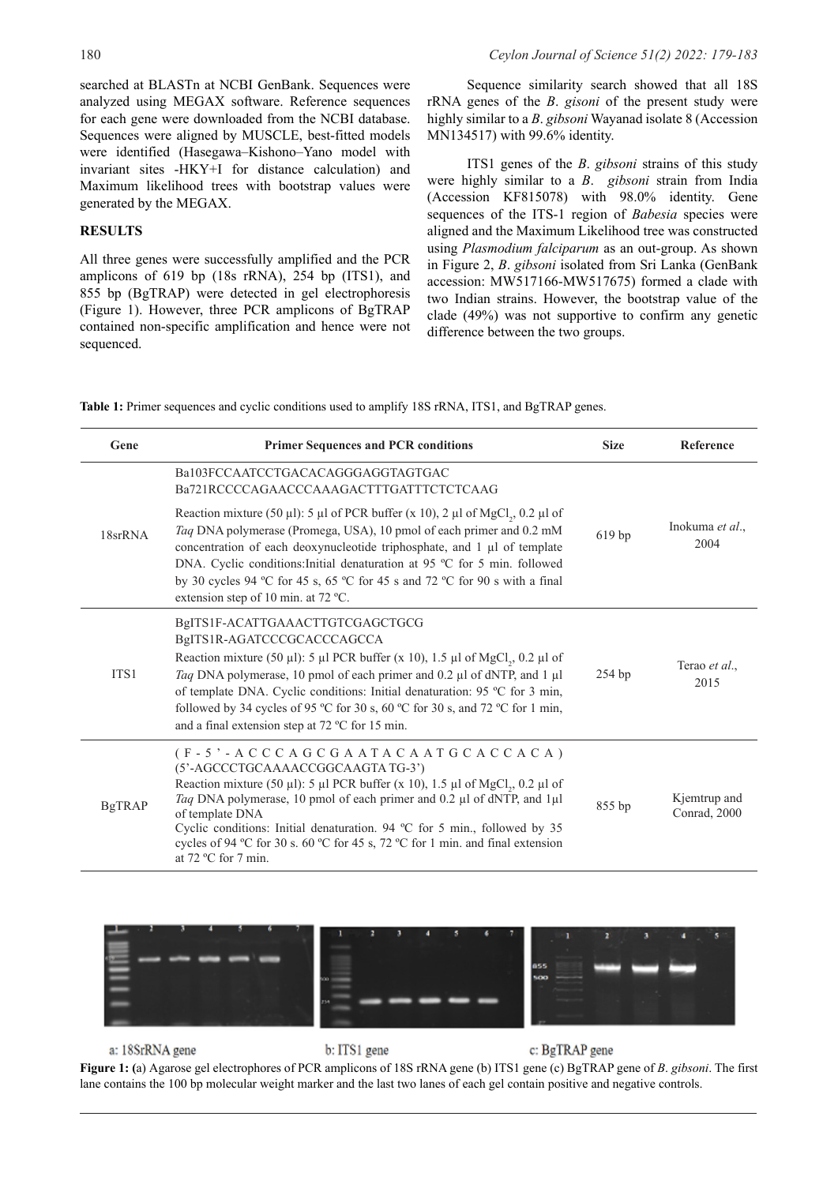searched at BLASTn at NCBI GenBank. Sequences were analyzed using MEGAX software. Reference sequences for each gene were downloaded from the NCBI database. Sequences were aligned by MUSCLE, best-fitted models were identified (Hasegawa–Kishono–Yano model with invariant sites -HKY+I for distance calculation) and Maximum likelihood trees with bootstrap values were generated by the MEGAX.

#### **RESULTS**

All three genes were successfully amplified and the PCR amplicons of 619 bp (18s rRNA), 254 bp (ITS1), and 855 bp (BgTRAP) were detected in gel electrophoresis (Figure 1). However, three PCR amplicons of BgTRAP contained non-specific amplification and hence were not sequenced.

Sequence similarity search showed that all 18S rRNA genes of the *B*. *gisoni* of the present study were highly similar to a *B*. *gibsoni* Wayanad isolate 8 (Accession MN134517) with 99.6% identity.

ITS1 genes of the *B*. *gibsoni* strains of this study were highly similar to a *B*. *gibsoni* strain from India (Accession KF815078) with 98.0% identity. Gene sequences of the ITS-1 region of *Babesia* species were aligned and the Maximum Likelihood tree was constructed using *Plasmodium falciparum* as an out-group. As shown in Figure 2, *B*. *gibsoni* isolated from Sri Lanka (GenBank accession: MW517166-MW517675) formed a clade with two Indian strains. However, the bootstrap value of the clade (49%) was not supportive to confirm any genetic difference between the two groups.

**Table 1:** Primer sequences and cyclic conditions used to amplify 18S rRNA, ITS1, and BgTRAP genes.

| Gene          | <b>Primer Sequences and PCR conditions</b>                                                                                                                                                                                                                                                                                                                                                                                                                                            | <b>Size</b> | <b>Reference</b>             |
|---------------|---------------------------------------------------------------------------------------------------------------------------------------------------------------------------------------------------------------------------------------------------------------------------------------------------------------------------------------------------------------------------------------------------------------------------------------------------------------------------------------|-------------|------------------------------|
| 18srRNA       | Ba103FCCAATCCTGACACAGGGAGGTAGTGAC<br>Ba721RCCCCAGAACCCAAAGACTTTGATTTCTCTCAAG                                                                                                                                                                                                                                                                                                                                                                                                          | 619 bp      | Inokuma et al.,<br>2004      |
|               | Reaction mixture (50 µl): 5 µl of PCR buffer (x 10), 2 µl of MgCl <sub>2</sub> , 0.2 µl of<br>Taq DNA polymerase (Promega, USA), 10 pmol of each primer and 0.2 mM<br>concentration of each deoxynucleotide triphosphate, and 1 µl of template<br>DNA. Cyclic conditions: Initial denaturation at 95 °C for 5 min. followed<br>by 30 cycles 94 °C for 45 s, 65 °C for 45 s and 72 °C for 90 s with a final<br>extension step of 10 min. at 72 °C.                                     |             |                              |
| ITS1          | BgITS1F-ACATTGAAACTTGTCGAGCTGCG<br>BgITS1R-AGATCCCGCACCCAGCCA<br>Reaction mixture (50 µl): 5 µl PCR buffer (x 10), 1.5 µl of MgCl <sub>2</sub> , 0.2 µl of<br>Taq DNA polymerase, 10 pmol of each primer and 0.2 µl of dNTP, and 1 µl<br>of template DNA. Cyclic conditions: Initial denaturation: 95 °C for 3 min,<br>followed by 34 cycles of 95 °C for 30 s, 60 °C for 30 s, and 72 °C for 1 min,<br>and a final extension step at 72 °C for 15 min.                               | $254$ bp    | Terao et al.,<br>2015        |
| <b>BgTRAP</b> | $(F - 5) - A C C C A G C G A A T A C A A T G C A C A C A)$<br>(5'-AGCCCTGCAAAACCGGCAAGTATG-3')<br>Reaction mixture (50 µl): 5 µl PCR buffer (x 10), 1.5 µl of MgCl,, 0.2 µl of<br>Taq DNA polymerase, 10 pmol of each primer and 0.2 µl of dNTP, and 1µl<br>of template DNA<br>Cyclic conditions: Initial denaturation. 94 °C for 5 min., followed by 35<br>cycles of 94 °C for 30 s. 60 °C for 45 s, 72 °C for 1 min. and final extension<br>at $72 \text{ °C}$ for $7 \text{ min.}$ | 855 bp      | Kjemtrup and<br>Conrad, 2000 |



c: BgTRAP gene a: 18SrRNA gene b: ITS1 gene **Figure 1: (**a) Agarose gel electrophores of PCR amplicons of 18S rRNA gene (b) ITS1 gene (c) BgTRAP gene of *B*. *gibsoni*. The first lane contains the 100 bp molecular weight marker and the last two lanes of each gel contain positive and negative controls.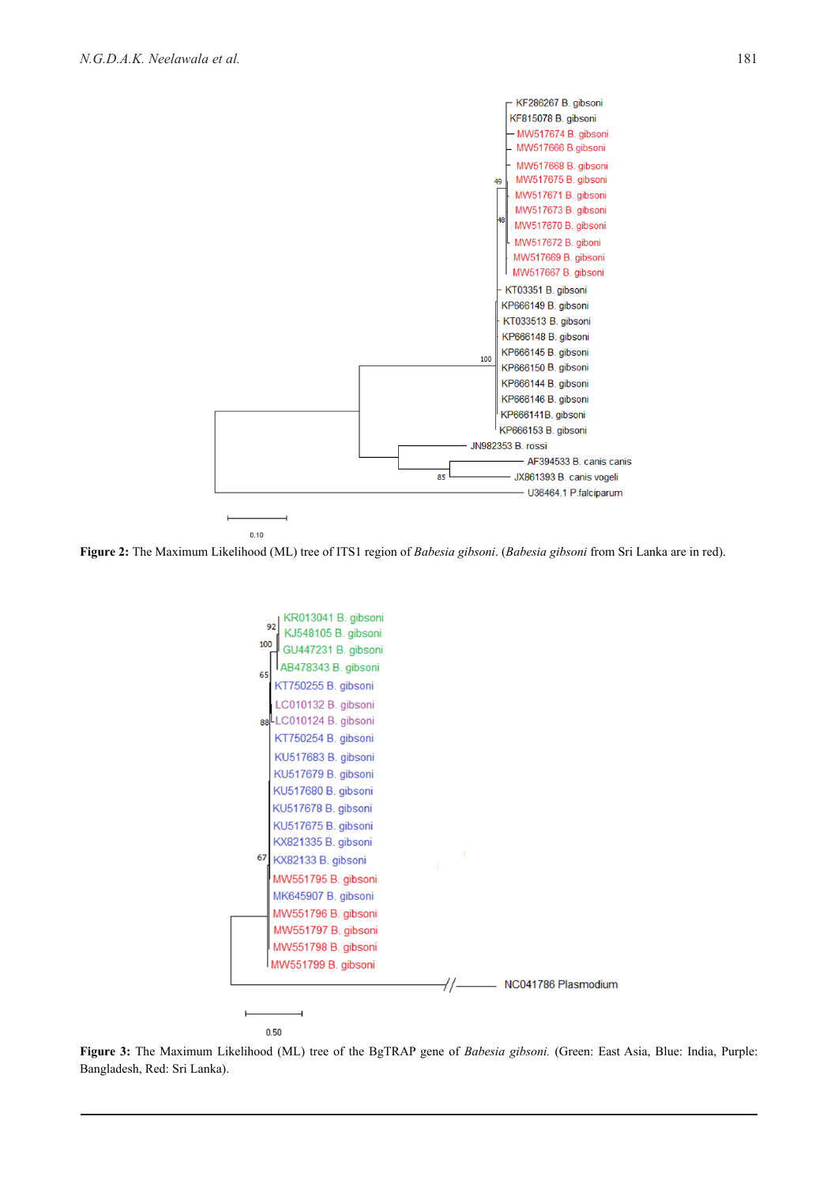

**Figure 2:** The Maximum Likelihood (ML) tree of ITS1 region of *Babesia gibsoni*. (*Babesia gibsoni* from Sri Lanka are in red).



**Figure 3:** The Maximum Likelihood (ML) tree of the BgTRAP gene of *Babesia gibsoni.* (Green: East Asia, Blue: India, Purple: Bangladesh, Red: Sri Lanka).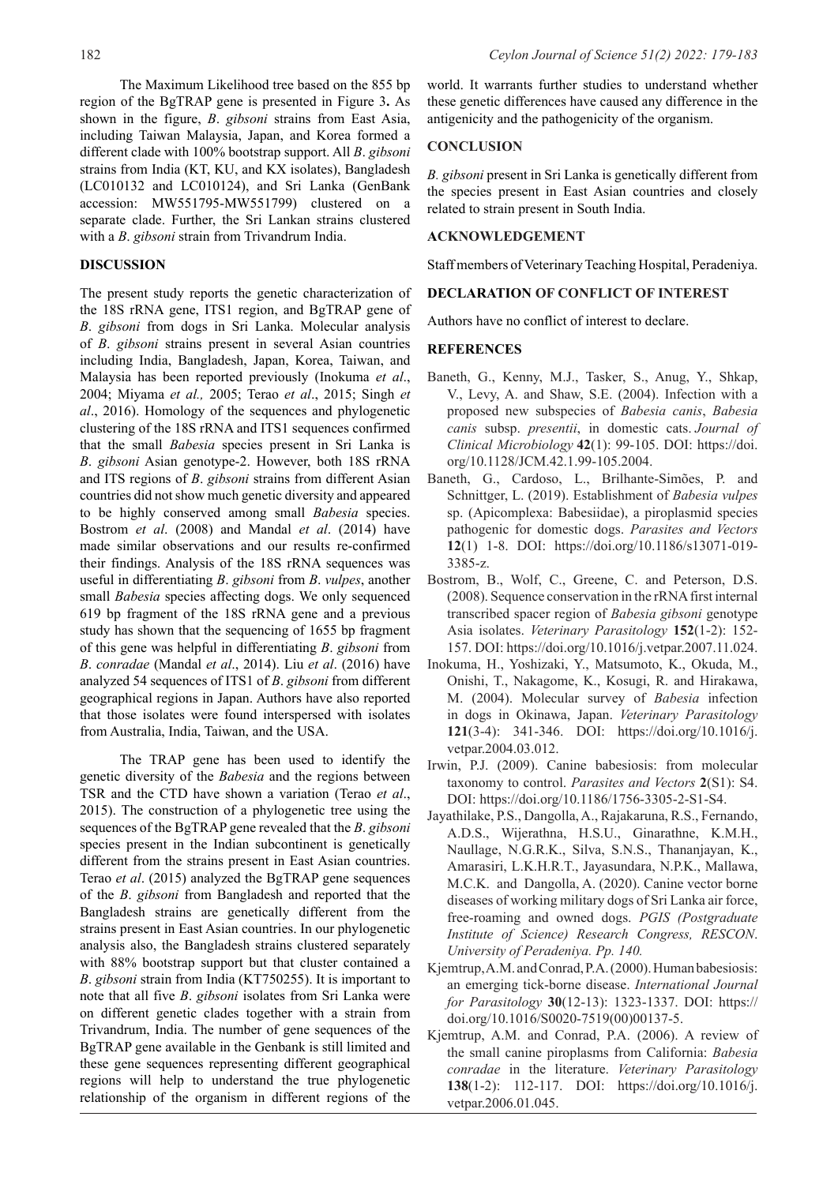The Maximum Likelihood tree based on the 855 bp region of the BgTRAP gene is presented in Figure 3**.** As shown in the figure, *B*. *gibsoni* strains from East Asia, including Taiwan Malaysia, Japan, and Korea formed a different clade with 100% bootstrap support. All *B*. *gibsoni* strains from India (KT, KU, and KX isolates), Bangladesh (LC010132 and LC010124), and Sri Lanka (GenBank accession: MW551795-MW551799) clustered on a separate clade. Further, the Sri Lankan strains clustered with a *B*. *gibsoni* strain from Trivandrum India.

#### **DISCUSSION**

The present study reports the genetic characterization of the 18S rRNA gene, ITS1 region, and BgTRAP gene of *B*. *gibsoni* from dogs in Sri Lanka. Molecular analysis of *B*. *gibsoni* strains present in several Asian countries including India, Bangladesh, Japan, Korea, Taiwan, and Malaysia has been reported previously (Inokuma *et al*., 2004; Miyama *et al.,* 2005; Terao *et al*., 2015; Singh *et al*., 2016). Homology of the sequences and phylogenetic clustering of the 18S rRNA and ITS1 sequences confirmed that the small *Babesia* species present in Sri Lanka is *B*. *gibsoni* Asian genotype-2. However, both 18S rRNA and ITS regions of *B*. *gibsoni* strains from different Asian countries did not show much genetic diversity and appeared to be highly conserved among small *Babesia* species. Bostrom *et al*. (2008) and Mandal *et al*. (2014) have made similar observations and our results re-confirmed their findings. Analysis of the 18S rRNA sequences was useful in differentiating *B*. *gibsoni* from *B*. *vulpes*, another small *Babesia* species affecting dogs. We only sequenced 619 bp fragment of the 18S rRNA gene and a previous study has shown that the sequencing of 1655 bp fragment of this gene was helpful in differentiating *B*. *gibsoni* from *B*. *conradae* (Mandal *et al*., 2014). Liu *et al*. (2016) have analyzed 54 sequences of ITS1 of *B*. *gibsoni* from different geographical regions in Japan. Authors have also reported that those isolates were found interspersed with isolates from Australia, India, Taiwan, and the USA.

The TRAP gene has been used to identify the genetic diversity of the *Babesia* and the regions between TSR and the CTD have shown a variation (Terao *et al*., 2015). The construction of a phylogenetic tree using the sequences of the BgTRAP gene revealed that the *B*. *gibsoni* species present in the Indian subcontinent is genetically different from the strains present in East Asian countries. Terao *et al*. (2015) analyzed the BgTRAP gene sequences of the *B*. *gibsoni* from Bangladesh and reported that the Bangladesh strains are genetically different from the strains present in East Asian countries. In our phylogenetic analysis also, the Bangladesh strains clustered separately with 88% bootstrap support but that cluster contained a *B*. *gibsoni* strain from India (KT750255). It is important to note that all five *B*. *gibsoni* isolates from Sri Lanka were on different genetic clades together with a strain from Trivandrum, India. The number of gene sequences of the BgTRAP gene available in the Genbank is still limited and these gene sequences representing different geographical regions will help to understand the true phylogenetic relationship of the organism in different regions of the

world. It warrants further studies to understand whether these genetic differences have caused any difference in the antigenicity and the pathogenicity of the organism.

## **CONCLUSION**

*B. gibsoni* present in Sri Lanka is genetically different from the species present in East Asian countries and closely related to strain present in South India.

### **ACKNOWLEDGEMENT**

Staff members of Veterinary Teaching Hospital, Peradeniya.

#### **DECLARATION OF CONFLICT OF INTEREST**

Authors have no conflict of interest to declare.

#### **REFERENCES**

- Baneth, G., Kenny, M.J., Tasker, S., Anug, Y., Shkap, V., Levy, A. and Shaw, S.E. (2004). Infection with a proposed new subspecies of *Babesia canis*, *Babesia canis* subsp. *presentii*, in domestic cats. *Journal of Clinical Microbiology* **42**(1): 99-105. DOI: [https://doi.](https://doi.org/10.1128/JCM.42.1.99-105.2004) [org/10.1128/JCM.42.1.99-105.2004](https://doi.org/10.1128/JCM.42.1.99-105.2004).
- Baneth, G., Cardoso, L., Brilhante-Simões, P. and Schnittger, L. (2019). Establishment of *Babesia vulpes*  sp. (Apicomplexa: Babesiidae), a piroplasmid species pathogenic for domestic dogs. *Parasites and Vectors*  **12**(1) 1-8. DOI: [https://doi.org/10.1186/s13071-019-](https://doi.org/10.1186/s13071-019-3385-z) [3385-z.](https://doi.org/10.1186/s13071-019-3385-z)
- Bostrom, B., Wolf, C., Greene, C. and Peterson, D.S. (2008). Sequence conservation in the rRNA first internal transcribed spacer region of *Babesia gibsoni* genotype Asia isolates. *Veterinary Parasitology* **152**(1-2): 152- 157. DOI:<https://doi.org/10.1016/j.vetpar.2007.11.024>.
- Inokuma, H., Yoshizaki, Y., Matsumoto, K., Okuda, M., Onishi, T., Nakagome, K., Kosugi, R. and Hirakawa, M. (2004). Molecular survey of *Babesia* infection in dogs in Okinawa, Japan. *Veterinary Parasitology*  **121**(3-4): 341-346. DOI: [https://doi.org/10.1016/j.](https://doi.org/10.1016/j.vetpar.2004.03.012) [vetpar.2004.03.012.](https://doi.org/10.1016/j.vetpar.2004.03.012)
- Irwin, P.J. (2009). Canine babesiosis: from molecular taxonomy to control. *Parasites and Vectors* **2**(S1): S4. DOI: <https://doi.org/10.1186/1756-3305-2-S1-S4>.
- Jayathilake, P.S., Dangolla, A., Rajakaruna, R.S., Fernando, A.D.S., Wijerathna, H.S.U., Ginarathne, K.M.H., Naullage, N.G.R.K., Silva, S.N.S., Thananjayan, K., Amarasiri, L.K.H.R.T., Jayasundara, N.P.K., Mallawa, M.C.K. and Dangolla, A. (2020). Canine vector borne diseases of working military dogs of Sri Lanka air force, free-roaming and owned dogs. *PGIS (Postgraduate Institute of Science) Research Congress, RESCON*. *University of Peradeniya. Pp. 140.*
- Kjemtrup, A.M. and Conrad, P.A. (2000). Human babesiosis: an emerging tick-borne disease. *International Journal for Parasitology* **30**(12-13): 1323-1337. DOI: [https://](https://doi.org/10.1016/S0020-7519(00)00137-5) [doi.org/10.1016/S0020-7519\(00\)00137-5](https://doi.org/10.1016/S0020-7519(00)00137-5).
- Kjemtrup, A.M. and Conrad, P.A. (2006). A review of the small canine piroplasms from California: *Babesia conradae* in the literature. *Veterinary Parasitology*  **138**(1-2): 112-117. DOI: [https://doi.org/10.1016/j.](https://doi.org/10.1016/j.vetpar.2006.01.045) [vetpar.2006.01.045.](https://doi.org/10.1016/j.vetpar.2006.01.045)